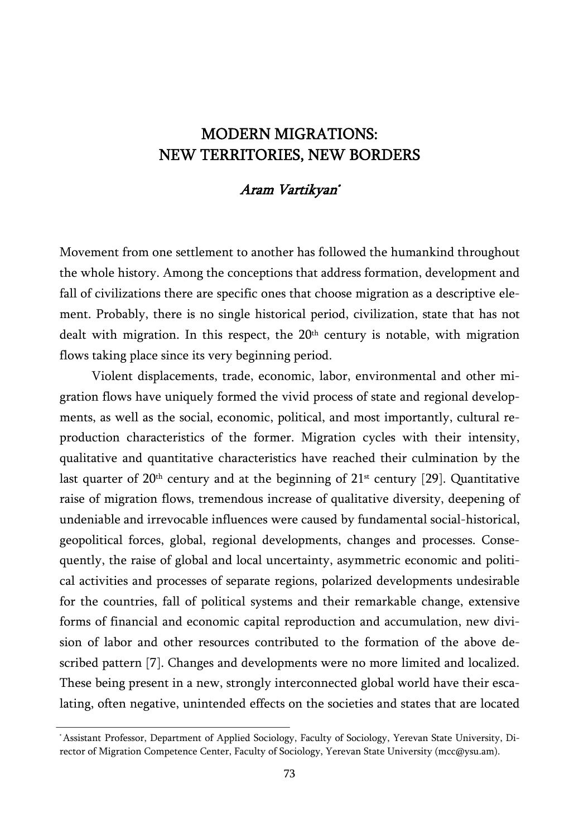## MODERN MIGRATIONS: NEW TERRITORIES, NEW BORDERS

## Aram Vartikyan\*

Movement from one settlement to another has followed the humankind throughout the whole history. Among the conceptions that address formation, development and fall of civilizations there are specific ones that choose migration as a descriptive element. Probably, there is no single historical period, civilization, state that has not dealt with migration. In this respect, the  $20<sup>th</sup>$  century is notable, with migration flows taking place since its very beginning period.

Violent displacements, trade, economic, labor, environmental and other migration flows have uniquely formed the vivid process of state and regional developments, as well as the social, economic, political, and most importantly, cultural reproduction characteristics of the former. Migration cycles with their intensity, qualitative and quantitative characteristics have reached their culmination by the last quarter of  $20<sup>th</sup>$  century and at the beginning of  $21<sup>st</sup>$  century [29]. Quantitative raise of migration flows, tremendous increase of qualitative diversity, deepening of undeniable and irrevocable influences were caused by fundamental social-historical, geopolitical forces, global, regional developments, changes and processes. Consequently, the raise of global and local uncertainty, asymmetric economic and political activities and processes of separate regions, polarized developments undesirable for the countries, fall of political systems and their remarkable change, extensive forms of financial and economic capital reproduction and accumulation, new division of labor and other resources contributed to the formation of the above described pattern [7]. Changes and developments were no more limited and localized. These being present in a new, strongly interconnected global world have their escalating, often negative, unintended effects on the societies and states that are located

<sup>\*</sup> Assistant Professor, Department of Applied Sociology, Faculty of Sociology, Yerevan State University, Director of Migration Competence Center, Faculty of Sociology, Yerevan State University (mcc@ysu.am).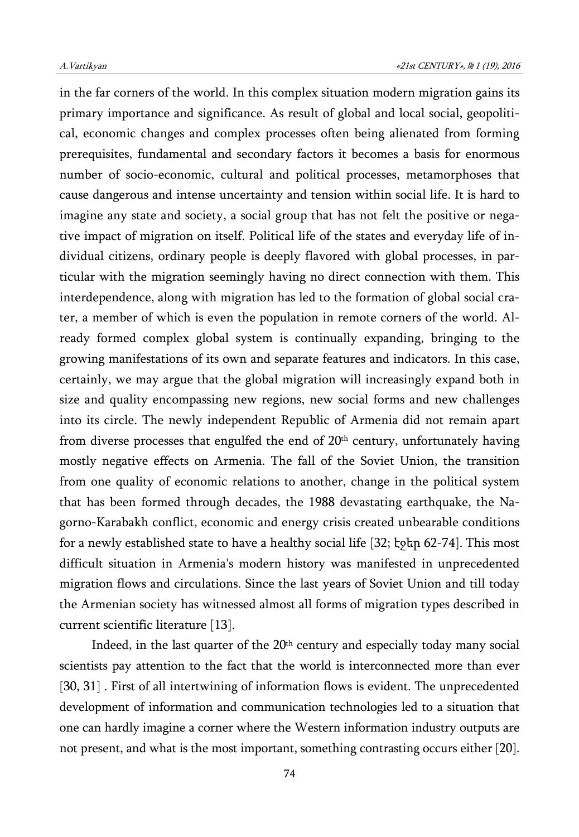in the far corners of the world. In this complex situation modern migration gains its primary importance and significance. As result of global and local social, geopolitical, economic changes and complex processes often being alienated from forming prerequisites, fundamental and secondary factors it becomes a basis for enormous number of socio-economic, cultural and political processes, metamorphoses that cause dangerous and intense uncertainty and tension within social life. It is hard to imagine any state and society, a social group that has not felt the positive or negative impact of migration on itself. Political life of the states and everyday life of individual citizens, ordinary people is deeply flavored with global processes, in particular with the migration seemingly having no direct connection with them. This interdependence, along with migration has led to the formation of global social crater, a member of which is even the population in remote corners of the world. Already formed complex global system is continually expanding, bringing to the growing manifestations of its own and separate features and indicators. In this case, certainly, we may argue that the global migration will increasingly expand both in size and quality encompassing new regions, new social forms and new challenges into its circle. The newly independent Republic of Armenia did not remain apart from diverse processes that engulfed the end of  $20<sup>th</sup>$  century, unfortunately having mostly negative effects on Armenia. The fall of the Soviet Union, the transition from one quality of economic relations to another, change in the political system that has been formed through decades, the 1988 devastating earthquake, the Nagorno-Karabakh conflict, economic and energy crisis created unbearable conditions for a newly established state to have a healthy social life [32; էջեր 62-74]. This most difficult situation in Armenia's modern history was manifested in unprecedented migration flows and circulations. Since the last years of Soviet Union and till today the Armenian society has witnessed almost all forms of migration types described in current scientific literature [13].

Indeed, in the last quarter of the  $20<sup>th</sup>$  century and especially today many social scientists pay attention to the fact that the world is interconnected more than ever [30, 31] . First of all intertwining of information flows is evident. The unprecedented development of information and communication technologies led to a situation that one can hardly imagine a corner where the Western information industry outputs are not present, and what is the most important, something contrasting occurs either [20].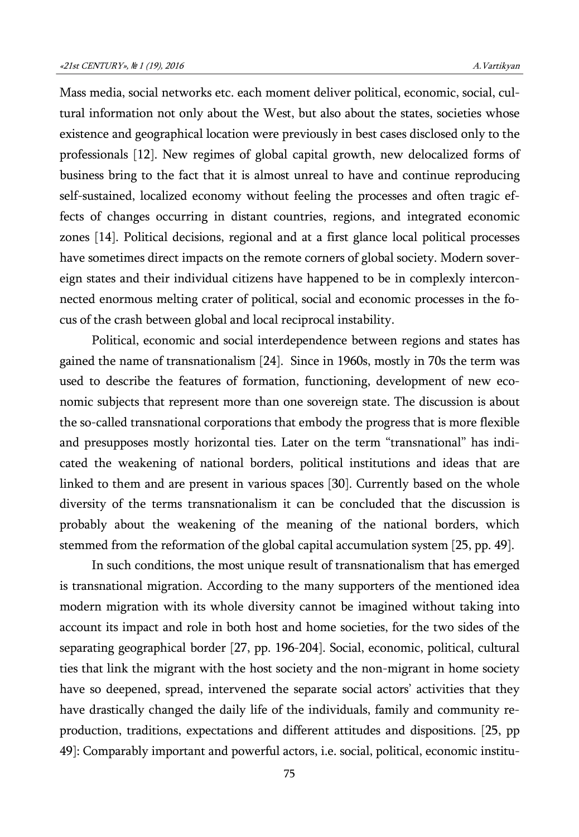Mass media, social networks etc. each moment deliver political, economic, social, cultural information not only about the West, but also about the states, societies whose existence and geographical location were previously in best cases disclosed only to the professionals [12]. New regimes of global capital growth, new delocalized forms of business bring to the fact that it is almost unreal to have and continue reproducing self-sustained, localized economy without feeling the processes and often tragic effects of changes occurring in distant countries, regions, and integrated economic zones [14]. Political decisions, regional and at a first glance local political processes have sometimes direct impacts on the remote corners of global society. Modern sovereign states and their individual citizens have happened to be in complexly interconnected enormous melting crater of political, social and economic processes in the focus of the crash between global and local reciprocal instability.

Political, economic and social interdependence between regions and states has gained the name of transnationalism [24]. Since in 1960s, mostly in 70s the term was used to describe the features of formation, functioning, development of new economic subjects that represent more than one sovereign state. The discussion is about the so-called transnational corporations that embody the progress that is more flexible and presupposes mostly horizontal ties. Later on the term "transnational" has indicated the weakening of national borders, political institutions and ideas that are linked to them and are present in various spaces [30]. Currently based on the whole diversity of the terms transnationalism it can be concluded that the discussion is probably about the weakening of the meaning of the national borders, which stemmed from the reformation of the global capital accumulation system [25, pp. 49].

In such conditions, the most unique result of transnationalism that has emerged is transnational migration. According to the many supporters of the mentioned idea modern migration with its whole diversity cannot be imagined without taking into account its impact and role in both host and home societies, for the two sides of the separating geographical border [27, pp. 196-204]. Social, economic, political, cultural ties that link the migrant with the host society and the non-migrant in home society have so deepened, spread, intervened the separate social actors' activities that they have drastically changed the daily life of the individuals, family and community reproduction, traditions, expectations and different attitudes and dispositions. [25, pp 49]: Comparably important and powerful actors, i.e. social, political, economic institu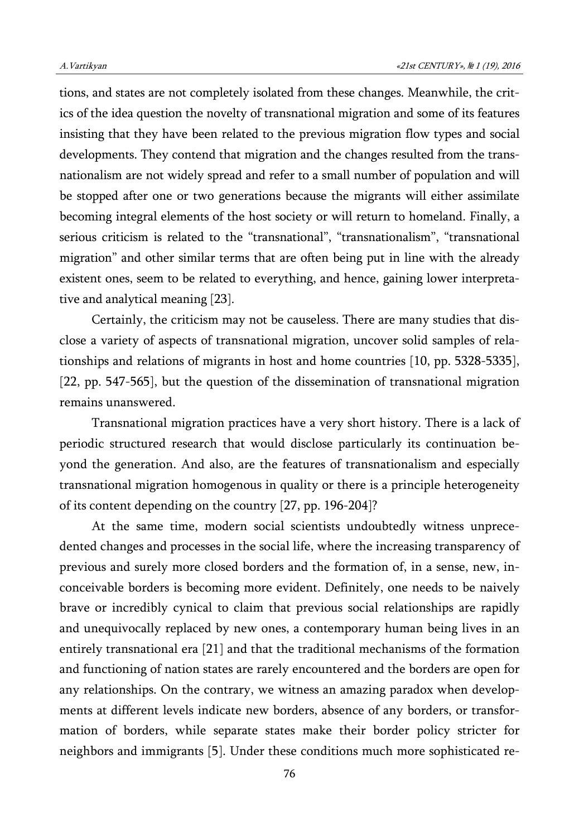tions, and states are not completely isolated from these changes. Meanwhile, the critics of the idea question the novelty of transnational migration and some of its features insisting that they have been related to the previous migration flow types and social developments. They contend that migration and the changes resulted from the transnationalism are not widely spread and refer to a small number of population and will be stopped after one or two generations because the migrants will either assimilate becoming integral elements of the host society or will return to homeland. Finally, a serious criticism is related to the "transnational", "transnationalism", "transnational migration" and other similar terms that are often being put in line with the already existent ones, seem to be related to everything, and hence, gaining lower interpretative and analytical meaning [23].

Certainly, the criticism may not be causeless. There are many studies that disclose a variety of aspects of transnational migration, uncover solid samples of relationships and relations of migrants in host and home countries [10, pp. 5328-5335], [22, pp. 547-565], but the question of the dissemination of transnational migration remains unanswered.

Transnational migration practices have a very short history. There is a lack of periodic structured research that would disclose particularly its continuation beyond the generation. And also, are the features of transnationalism and especially transnational migration homogenous in quality or there is a principle heterogeneity of its content depending on the country [27, pp. 196-204]?

At the same time, modern social scientists undoubtedly witness unprecedented changes and processes in the social life, where the increasing transparency of previous and surely more closed borders and the formation of, in a sense, new, inconceivable borders is becoming more evident. Definitely, one needs to be naively brave or incredibly cynical to claim that previous social relationships are rapidly and unequivocally replaced by new ones, a contemporary human being lives in an entirely transnational era [21] and that the traditional mechanisms of the formation and functioning of nation states are rarely encountered and the borders are open for any relationships. On the contrary, we witness an amazing paradox when developments at different levels indicate new borders, absence of any borders, or transformation of borders, while separate states make their border policy stricter for neighbors and immigrants [5]. Under these conditions much more sophisticated re-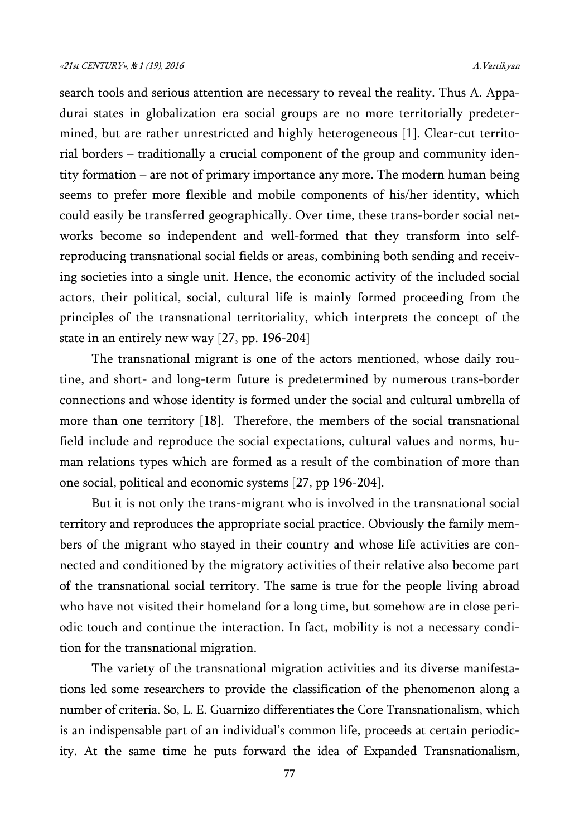search tools and serious attention are necessary to reveal the reality. Thus A. Appadurai states in globalization era social groups are no more territorially predetermined, but are rather unrestricted and highly heterogeneous [1]. Clear-cut territorial borders – traditionally a crucial component of the group and community identity formation – are not of primary importance any more. The modern human being seems to prefer more flexible and mobile components of his/her identity, which could easily be transferred geographically. Over time, these trans-border social networks become so independent and well-formed that they transform into selfreproducing transnational social fields or areas, combining both sending and receiving societies into a single unit. Hence, the economic activity of the included social actors, their political, social, cultural life is mainly formed proceeding from the principles of the transnational territoriality, which interprets the concept of the state in an entirely new way [27, pp. 196-204]

The transnational migrant is one of the actors mentioned, whose daily routine, and short- and long-term future is predetermined by numerous trans-border connections and whose identity is formed under the social and cultural umbrella of more than one territory [18]. Therefore, the members of the social transnational field include and reproduce the social expectations, cultural values and norms, human relations types which are formed as a result of the combination of more than one social, political and economic systems [27, pp 196-204].

But it is not only the trans-migrant who is involved in the transnational social territory and reproduces the appropriate social practice. Obviously the family members of the migrant who stayed in their country and whose life activities are connected and conditioned by the migratory activities of their relative also become part of the transnational social territory. The same is true for the people living abroad who have not visited their homeland for a long time, but somehow are in close periodic touch and continue the interaction. In fact, mobility is not a necessary condition for the transnational migration.

The variety of the transnational migration activities and its diverse manifestations led some researchers to provide the classification of the phenomenon along a number of criteria. So, L. E. Guarnizo differentiates the Core Transnationalism, which is an indispensable part of an individual's common life, proceeds at certain periodicity. At the same time he puts forward the idea of Expanded Transnationalism,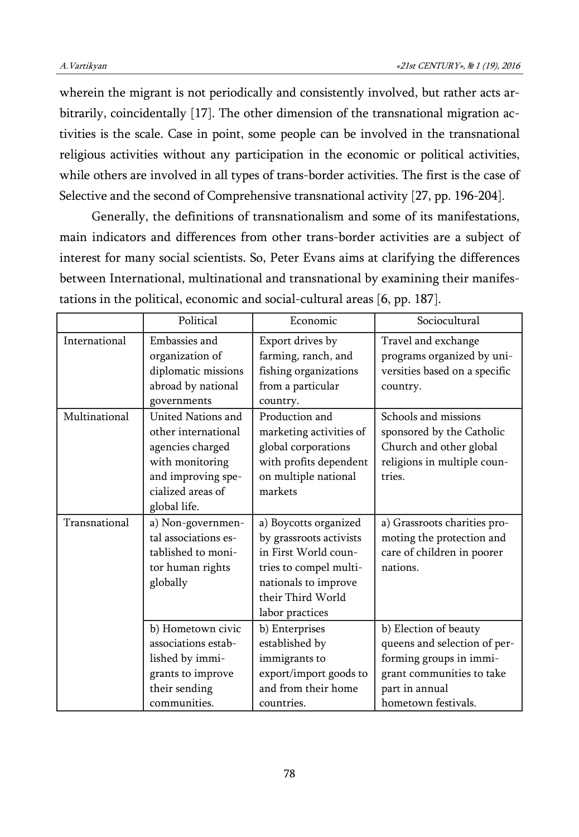wherein the migrant is not periodically and consistently involved, but rather acts arbitrarily, coincidentally [17]. The other dimension of the transnational migration activities is the scale. Case in point, some people can be involved in the transnational religious activities without any participation in the economic or political activities, while others are involved in all types of trans-border activities. The first is the case of Selective and the second of Comprehensive transnational activity [27, pp. 196-204].

Generally, the definitions of transnationalism and some of its manifestations, main indicators and differences from other trans-border activities are a subject of interest for many social scientists. So, Peter Evans aims at clarifying the differences between International, multinational and transnational by examining their manifestations in the political, economic and social-cultural areas [6, pp. 187].

|               | Political                                                                                                                                   | Economic                                                                                                                                                           | Sociocultural                                                                                                                                          |
|---------------|---------------------------------------------------------------------------------------------------------------------------------------------|--------------------------------------------------------------------------------------------------------------------------------------------------------------------|--------------------------------------------------------------------------------------------------------------------------------------------------------|
| International | Embassies and<br>organization of<br>diplomatic missions<br>abroad by national<br>governments                                                | Export drives by<br>farming, ranch, and<br>fishing organizations<br>from a particular<br>country.                                                                  | Travel and exchange<br>programs organized by uni-<br>versities based on a specific<br>country.                                                         |
| Multinational | United Nations and<br>other international<br>agencies charged<br>with monitoring<br>and improving spe-<br>cialized areas of<br>global life. | Production and<br>marketing activities of<br>global corporations<br>with profits dependent<br>on multiple national<br>markets                                      | Schools and missions<br>sponsored by the Catholic<br>Church and other global<br>religions in multiple coun-<br>tries.                                  |
| Transnational | a) Non-governmen-<br>tal associations es-<br>tablished to moni-<br>tor human rights<br>globally                                             | a) Boycotts organized<br>by grassroots activists<br>in First World coun-<br>tries to compel multi-<br>nationals to improve<br>their Third World<br>labor practices | a) Grassroots charities pro-<br>moting the protection and<br>care of children in poorer<br>nations.                                                    |
|               | b) Hometown civic<br>associations estab-<br>lished by immi-<br>grants to improve<br>their sending<br>communities.                           | b) Enterprises<br>established by<br>immigrants to<br>export/import goods to<br>and from their home<br>countries.                                                   | b) Election of beauty<br>queens and selection of per-<br>forming groups in immi-<br>grant communities to take<br>part in annual<br>hometown festivals. |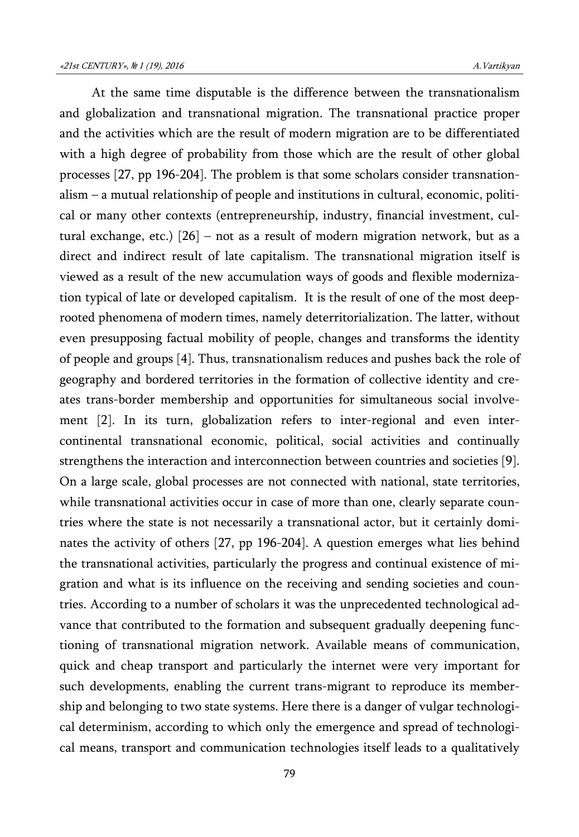At the same time disputable is the difference between the transnationalism and globalization and transnational migration. The transnational practice proper and the activities which are the result of modern migration are to be differentiated with a high degree of probability from those which are the result of other global processes [27, pp 196-204]. The problem is that some scholars consider transnationalism – a mutual relationship of people and institutions in cultural, economic, political or many other contexts (entrepreneurship, industry, financial investment, cultural exchange, etc.) [26] – not as a result of modern migration network, but as a direct and indirect result of late capitalism. The transnational migration itself is viewed as a result of the new accumulation ways of goods and flexible modernization typical of late or developed capitalism. It is the result of one of the most deeprooted phenomena of modern times, namely deterritorialization. The latter, without even presupposing factual mobility of people, changes and transforms the identity of people and groups [4]. Thus, transnationalism reduces and pushes back the role of geography and bordered territories in the formation of collective identity and creates trans-border membership and opportunities for simultaneous social involvement [2]. In its turn, globalization refers to inter-regional and even intercontinental transnational economic, political, social activities and continually strengthens the interaction and interconnection between countries and societies [9]. On a large scale, global processes are not connected with national, state territories, while transnational activities occur in case of more than one, clearly separate countries where the state is not necessarily a transnational actor, but it certainly dominates the activity of others [27, pp 196-204]. A question emerges what lies behind the transnational activities, particularly the progress and continual existence of migration and what is its influence on the receiving and sending societies and countries. According to a number of scholars it was the unprecedented technological advance that contributed to the formation and subsequent gradually deepening functioning of transnational migration network. Available means of communication, quick and cheap transport and particularly the internet were very important for such developments, enabling the current trans-migrant to reproduce its membership and belonging to two state systems. Here there is a danger of vulgar technological determinism, according to which only the emergence and spread of technological means, transport and communication technologies itself leads to a qualitatively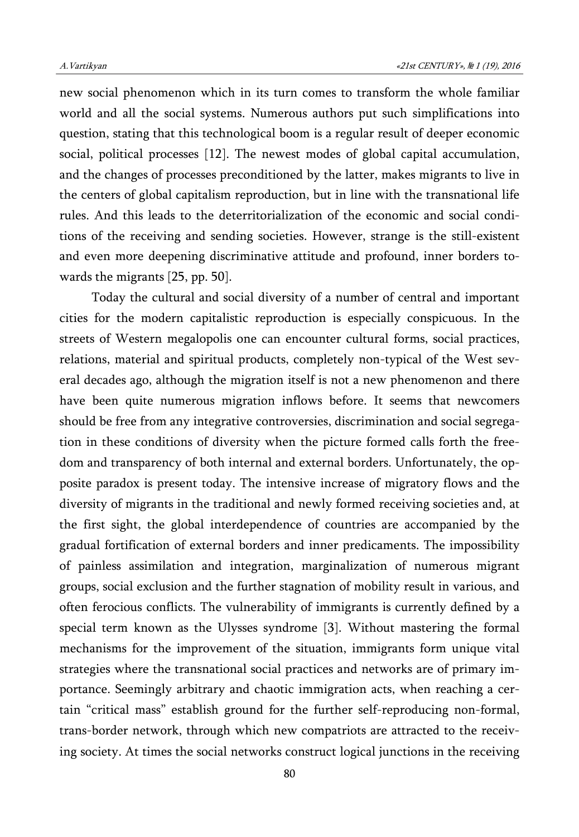new social phenomenon which in its turn comes to transform the whole familiar world and all the social systems. Numerous authors put such simplifications into question, stating that this technological boom is a regular result of deeper economic social, political processes [12]. The newest modes of global capital accumulation, and the changes of processes preconditioned by the latter, makes migrants to live in the centers of global capitalism reproduction, but in line with the transnational life rules. And this leads to the deterritorialization of the economic and social conditions of the receiving and sending societies. However, strange is the still-existent and even more deepening discriminative attitude and profound, inner borders towards the migrants [25, pp. 50].

Today the cultural and social diversity of a number of central and important cities for the modern capitalistic reproduction is especially conspicuous. In the streets of Western megalopolis one can encounter cultural forms, social practices, relations, material and spiritual products, completely non-typical of the West several decades ago, although the migration itself is not a new phenomenon and there have been quite numerous migration inflows before. It seems that newcomers should be free from any integrative controversies, discrimination and social segregation in these conditions of diversity when the picture formed calls forth the freedom and transparency of both internal and external borders. Unfortunately, the opposite paradox is present today. The intensive increase of migratory flows and the diversity of migrants in the traditional and newly formed receiving societies and, at the first sight, the global interdependence of countries are accompanied by the gradual fortification of external borders and inner predicaments. The impossibility of painless assimilation and integration, marginalization of numerous migrant groups, social exclusion and the further stagnation of mobility result in various, and often ferocious conflicts. The vulnerability of immigrants is currently defined by a special term known as the Ulysses syndrome [3]. Without mastering the formal mechanisms for the improvement of the situation, immigrants form unique vital strategies where the transnational social practices and networks are of primary importance. Seemingly arbitrary and chaotic immigration acts, when reaching a certain "critical mass" establish ground for the further self-reproducing non-formal, trans-border network, through which new compatriots are attracted to the receiving society. At times the social networks construct logical junctions in the receiving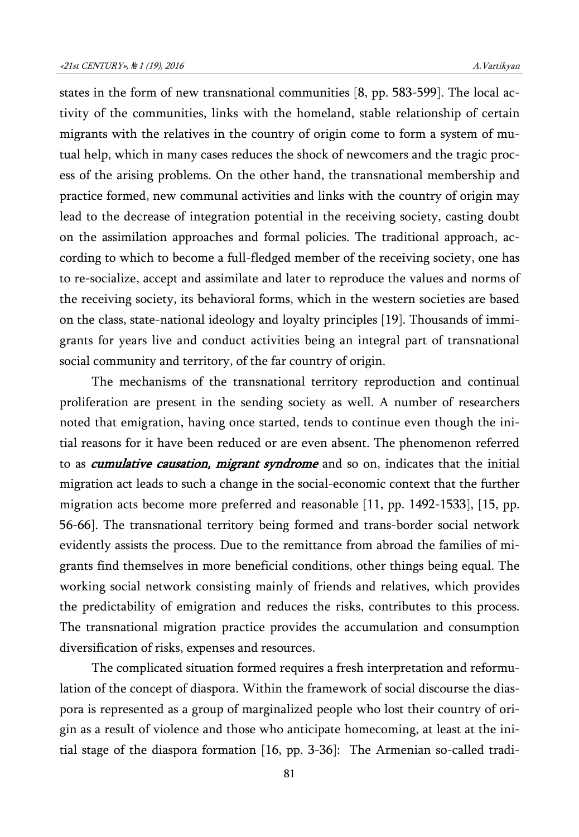states in the form of new transnational communities [8, pp. 583-599]. The local activity of the communities, links with the homeland, stable relationship of certain migrants with the relatives in the country of origin come to form a system of mutual help, which in many cases reduces the shock of newcomers and the tragic process of the arising problems. On the other hand, the transnational membership and practice formed, new communal activities and links with the country of origin may lead to the decrease of integration potential in the receiving society, casting doubt on the assimilation approaches and formal policies. The traditional approach, according to which to become a full-fledged member of the receiving society, one has to re-socialize, accept and assimilate and later to reproduce the values and norms of the receiving society, its behavioral forms, which in the western societies are based on the class, state-national ideology and loyalty principles [19]. Thousands of immigrants for years live and conduct activities being an integral part of transnational social community and territory, of the far country of origin.

The mechanisms of the transnational territory reproduction and continual proliferation are present in the sending society as well. A number of researchers noted that emigration, having once started, tends to continue even though the initial reasons for it have been reduced or are even absent. The phenomenon referred to as *cumulative causation, migrant syndrome* and so on, indicates that the initial migration act leads to such a change in the social-economic context that the further migration acts become more preferred and reasonable [11, pp. 1492-1533], [15, pp. 56-66]. The transnational territory being formed and trans-border social network evidently assists the process. Due to the remittance from abroad the families of migrants find themselves in more beneficial conditions, other things being equal. The working social network consisting mainly of friends and relatives, which provides the predictability of emigration and reduces the risks, contributes to this process. The transnational migration practice provides the accumulation and consumption diversification of risks, expenses and resources.

The complicated situation formed requires a fresh interpretation and reformulation of the concept of diaspora. Within the framework of social discourse the diaspora is represented as a group of marginalized people who lost their country of origin as a result of violence and those who anticipate homecoming, at least at the initial stage of the diaspora formation [16, pp. 3-36]: The Armenian so-called tradi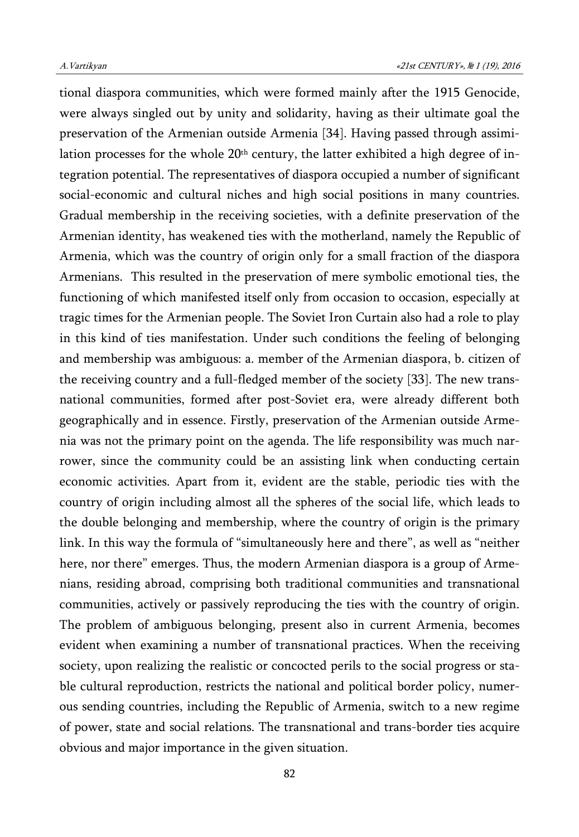tional diaspora communities, which were formed mainly after the 1915 Genocide, were always singled out by unity and solidarity, having as their ultimate goal the preservation of the Armenian outside Armenia [34]. Having passed through assimilation processes for the whole  $20<sup>th</sup>$  century, the latter exhibited a high degree of integration potential. The representatives of diaspora occupied a number of significant social-economic and cultural niches and high social positions in many countries. Gradual membership in the receiving societies, with a definite preservation of the Armenian identity, has weakened ties with the motherland, namely the Republic of Armenia, which was the country of origin only for a small fraction of the diaspora Armenians. This resulted in the preservation of mere symbolic emotional ties, the functioning of which manifested itself only from occasion to occasion, especially at tragic times for the Armenian people. The Soviet Iron Curtain also had a role to play in this kind of ties manifestation. Under such conditions the feeling of belonging and membership was ambiguous: a. member of the Armenian diaspora, b. citizen of the receiving country and a full-fledged member of the society [33]. The new transnational communities, formed after post-Soviet era, were already different both geographically and in essence. Firstly, preservation of the Armenian outside Armenia was not the primary point on the agenda. The life responsibility was much narrower, since the community could be an assisting link when conducting certain economic activities. Apart from it, evident are the stable, periodic ties with the country of origin including almost all the spheres of the social life, which leads to the double belonging and membership, where the country of origin is the primary link. In this way the formula of "simultaneously here and there", as well as "neither here, nor there" emerges. Thus, the modern Armenian diaspora is a group of Armenians, residing abroad, comprising both traditional communities and transnational communities, actively or passively reproducing the ties with the country of origin. The problem of ambiguous belonging, present also in current Armenia, becomes evident when examining a number of transnational practices. When the receiving society, upon realizing the realistic or concocted perils to the social progress or stable cultural reproduction, restricts the national and political border policy, numerous sending countries, including the Republic of Armenia, switch to a new regime of power, state and social relations. The transnational and trans-border ties acquire obvious and major importance in the given situation.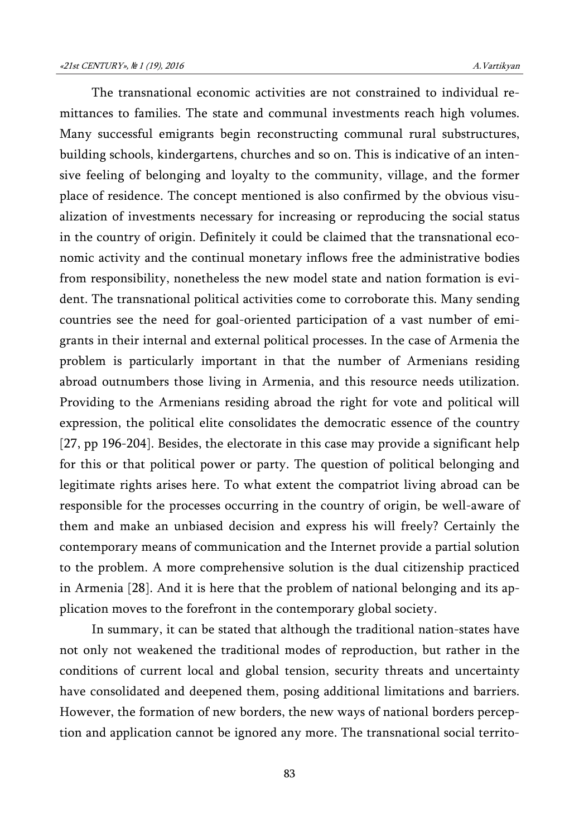The transnational economic activities are not constrained to individual remittances to families. The state and communal investments reach high volumes. Many successful emigrants begin reconstructing communal rural substructures, building schools, kindergartens, churches and so on. This is indicative of an intensive feeling of belonging and loyalty to the community, village, and the former place of residence. The concept mentioned is also confirmed by the obvious visualization of investments necessary for increasing or reproducing the social status in the country of origin. Definitely it could be claimed that the transnational economic activity and the continual monetary inflows free the administrative bodies from responsibility, nonetheless the new model state and nation formation is evident. The transnational political activities come to corroborate this. Many sending countries see the need for goal-oriented participation of a vast number of emigrants in their internal and external political processes. In the case of Armenia the problem is particularly important in that the number of Armenians residing abroad outnumbers those living in Armenia, and this resource needs utilization. Providing to the Armenians residing abroad the right for vote and political will expression, the political elite consolidates the democratic essence of the country [27, pp 196-204]. Besides, the electorate in this case may provide a significant help for this or that political power or party. The question of political belonging and legitimate rights arises here. To what extent the compatriot living abroad can be responsible for the processes occurring in the country of origin, be well-aware of them and make an unbiased decision and express his will freely? Certainly the contemporary means of communication and the Internet provide a partial solution to the problem. A more comprehensive solution is the dual citizenship practiced in Armenia [28]. And it is here that the problem of national belonging and its application moves to the forefront in the contemporary global society.

In summary, it can be stated that although the traditional nation-states have not only not weakened the traditional modes of reproduction, but rather in the conditions of current local and global tension, security threats and uncertainty have consolidated and deepened them, posing additional limitations and barriers. However, the formation of new borders, the new ways of national borders perception and application cannot be ignored any more. The transnational social territo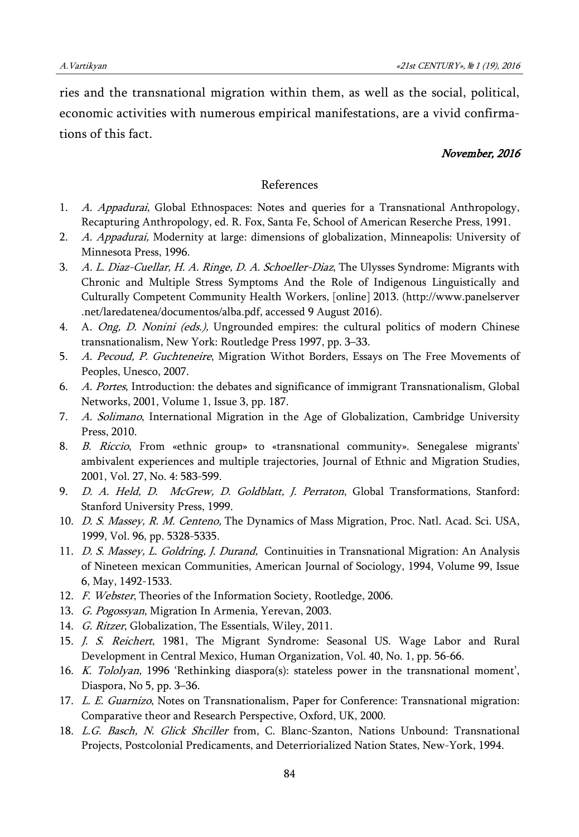ries and the transnational migration within them, as well as the social, political, economic activities with numerous empirical manifestations, are a vivid confirmations of this fact.

## November, 2016

## References

- 1. A. Appadurai, Global Ethnospaces: Notes and queries for a Transnational Anthropology, Recapturing Anthropology, ed. R. Fox, Santa Fe, School of American Reserche Press, 1991.
- 2. A. Appadurai, Modernity at large: dimensions of globalization, Minneapolis: University of Minnesota Press, 1996.
- 3. A. L. Diaz-Cuellar, H. A. Ringe, D. A. Schoeller-Diaz, The Ulysses Syndrome: Migrants with Chronic and Multiple Stress Symptoms And the Role of Indigenous Linguistically and Culturally Competent Community Health Workers, [online] 2013. (http://www.panelserver .net/laredatenea/documentos/alba.pdf, accessed 9 August 2016).
- 4. A. *Ong, D. Nonini (eds.)*, Ungrounded empires: the cultural politics of modern Chinese transnationalism, New York: Routledge Press 1997, pp. 3–33.
- 5. A. Pecoud, P. Guchteneire, Migration Withot Borders, Essays on The Free Movements of Peoples, Unesco, 2007.
- 6. A. Portes, Introduction: the debates and significance of immigrant Transnationalism, Global Networks, 2001, Volume 1, Issue 3, pp. 187.
- 7. A. Solimano, International Migration in the Age of Globalization, Cambridge University Press, 2010.
- 8. B. Riccio, From «ethnic group» to «transnational community». Senegalese migrants' ambivalent experiences and multiple trajectories, Journal of Ethnic and Migration Studies, 2001, Vol. 27, No. 4: 583-599.
- 9. D. A. Held, D. McGrew, D. Goldblatt, J. Perraton, Global Transformations, Stanford: Stanford University Press, 1999.
- 10. D. S. Massey, R. M. Centeno, The Dynamics of Mass Migration, Proc. Natl. Acad. Sci. USA, 1999, Vol. 96, pp. 5328-5335.
- 11. D. S. Massey, L. Goldring, J. Durand, Continuities in Transnational Migration: An Analysis of Nineteen mexican Communities, American Journal of Sociology, 1994, Volume 99, Issue 6, May, 1492-1533.
- 12. F. Webster, Theories of the Information Society, Rootledge, 2006.
- 13. G. Pogossyan, Migration In Armenia, Yerevan, 2003.
- 14. G. Ritzer, Globalization, The Essentials, Wiley, 2011.
- 15. J. S. Reichert, 1981, The Migrant Syndrome: Seasonal US. Wage Labor and Rural Development in Central Mexico, Human Organization, Vol. 40, No. 1, pp. 56-66.
- 16. K. Tololyan, 1996 'Rethinking diaspora(s): stateless power in the transnational moment', Diaspora, No 5, pp. 3–36.
- 17. L. E. Guarnizo, Notes on Transnationalism, Paper for Conference: Transnational migration: Comparative theor and Research Perspective, Oxford, UK, 2000.
- 18. L.G. Basch, N. Glick Shciller from, C. Blanc-Szanton, Nations Unbound: Transnational Projects, Postcolonial Predicaments, and Deterriorialized Nation States, New-York, 1994.